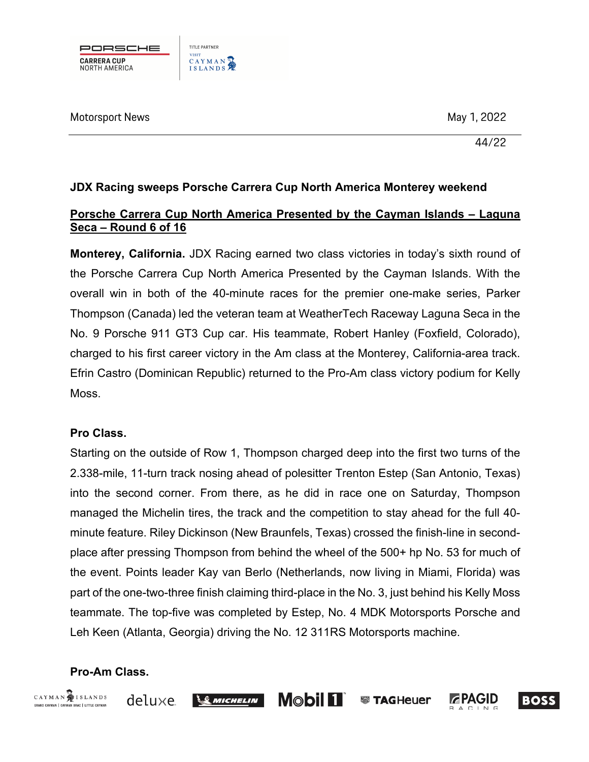

## **JDX Racing sweeps Porsche Carrera Cup North America Monterey weekend**

## **Porsche Carrera Cup North America Presented by the Cayman Islands – Laguna Seca – Round 6 of 16**

**Monterey, California.** JDX Racing earned two class victories in today's sixth round of the Porsche Carrera Cup North America Presented by the Cayman Islands. With the overall win in both of the 40-minute races for the premier one-make series, Parker Thompson (Canada) led the veteran team at WeatherTech Raceway Laguna Seca in the No. 9 Porsche 911 GT3 Cup car. His teammate, Robert Hanley (Foxfield, Colorado), charged to his first career victory in the Am class at the Monterey, California-area track. Efrin Castro (Dominican Republic) returned to the Pro-Am class victory podium for Kelly Moss.

### **Pro Class.**

Starting on the outside of Row 1, Thompson charged deep into the first two turns of the 2.338-mile, 11-turn track nosing ahead of polesitter Trenton Estep (San Antonio, Texas) into the second corner. From there, as he did in race one on Saturday, Thompson managed the Michelin tires, the track and the competition to stay ahead for the full 40 minute feature. Riley Dickinson (New Braunfels, Texas) crossed the finish-line in secondplace after pressing Thompson from behind the wheel of the 500+ hp No. 53 for much of the event. Points leader Kay van Berlo (Netherlands, now living in Miami, Florida) was part of the one-two-three finish claiming third-place in the No. 3, just behind his Kelly Moss teammate. The top-five was completed by Estep, No. 4 MDK Motorsports Porsche and Leh Keen (Atlanta, Georgia) driving the No. 12 311RS Motorsports machine.

## **Pro-Am Class.**



deluxe







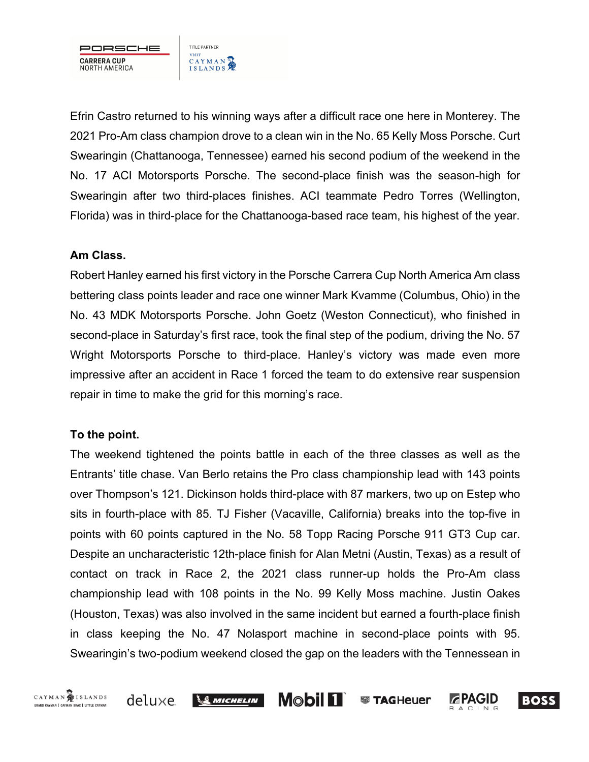

Efrin Castro returned to his winning ways after a difficult race one here in Monterey. The 2021 Pro-Am class champion drove to a clean win in the No. 65 Kelly Moss Porsche. Curt Swearingin (Chattanooga, Tennessee) earned his second podium of the weekend in the No. 17 ACI Motorsports Porsche. The second-place finish was the season-high for Swearingin after two third-places finishes. ACI teammate Pedro Torres (Wellington, Florida) was in third-place for the Chattanooga-based race team, his highest of the year.

### **Am Class.**

Robert Hanley earned his first victory in the Porsche Carrera Cup North America Am class bettering class points leader and race one winner Mark Kvamme (Columbus, Ohio) in the No. 43 MDK Motorsports Porsche. John Goetz (Weston Connecticut), who finished in second-place in Saturday's first race, took the final step of the podium, driving the No. 57 Wright Motorsports Porsche to third-place. Hanley's victory was made even more impressive after an accident in Race 1 forced the team to do extensive rear suspension repair in time to make the grid for this morning's race.

## **To the point.**

The weekend tightened the points battle in each of the three classes as well as the Entrants' title chase. Van Berlo retains the Pro class championship lead with 143 points over Thompson's 121. Dickinson holds third-place with 87 markers, two up on Estep who sits in fourth-place with 85. TJ Fisher (Vacaville, California) breaks into the top-five in points with 60 points captured in the No. 58 Topp Racing Porsche 911 GT3 Cup car. Despite an uncharacteristic 12th-place finish for Alan Metni (Austin, Texas) as a result of contact on track in Race 2, the 2021 class runner-up holds the Pro-Am class championship lead with 108 points in the No. 99 Kelly Moss machine. Justin Oakes (Houston, Texas) was also involved in the same incident but earned a fourth-place finish in class keeping the No. 47 Nolasport machine in second-place points with 95. Swearingin's two-podium weekend closed the gap on the leaders with the Tennessean in

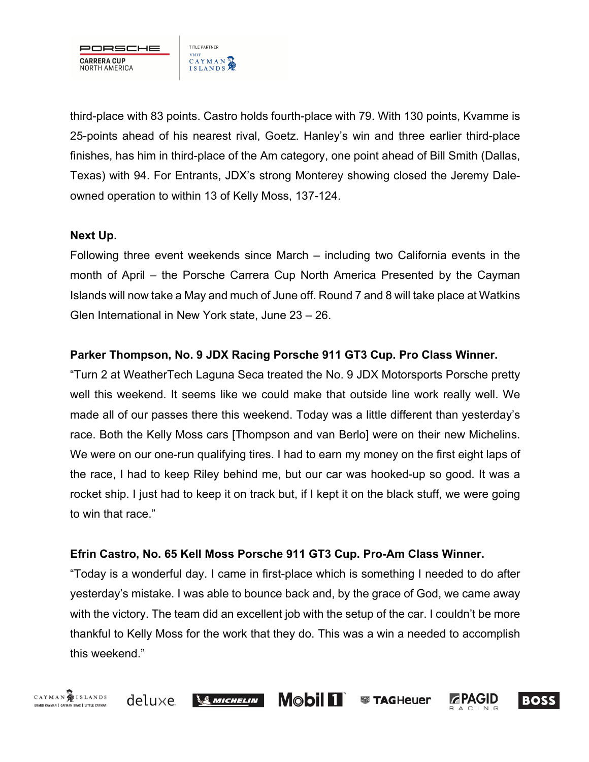

third-place with 83 points. Castro holds fourth-place with 79. With 130 points, Kvamme is 25-points ahead of his nearest rival, Goetz. Hanley's win and three earlier third-place finishes, has him in third-place of the Am category, one point ahead of Bill Smith (Dallas, Texas) with 94. For Entrants, JDX's strong Monterey showing closed the Jeremy Daleowned operation to within 13 of Kelly Moss, 137-124.

### **Next Up.**

Following three event weekends since March – including two California events in the month of April – the Porsche Carrera Cup North America Presented by the Cayman Islands will now take a May and much of June off. Round 7 and 8 will take place at Watkins Glen International in New York state, June 23 – 26.

## **Parker Thompson, No. 9 JDX Racing Porsche 911 GT3 Cup. Pro Class Winner.**

"Turn 2 at WeatherTech Laguna Seca treated the No. 9 JDX Motorsports Porsche pretty well this weekend. It seems like we could make that outside line work really well. We made all of our passes there this weekend. Today was a little different than yesterday's race. Both the Kelly Moss cars [Thompson and van Berlo] were on their new Michelins. We were on our one-run qualifying tires. I had to earn my money on the first eight laps of the race, I had to keep Riley behind me, but our car was hooked-up so good. It was a rocket ship. I just had to keep it on track but, if I kept it on the black stuff, we were going to win that race."

### **Efrin Castro, No. 65 Kell Moss Porsche 911 GT3 Cup. Pro-Am Class Winner.**

"Today is a wonderful day. I came in first-place which is something I needed to do after yesterday's mistake. I was able to bounce back and, by the grace of God, we came away with the victory. The team did an excellent job with the setup of the car. I couldn't be more thankful to Kelly Moss for the work that they do. This was a win a needed to accomplish this weekend."

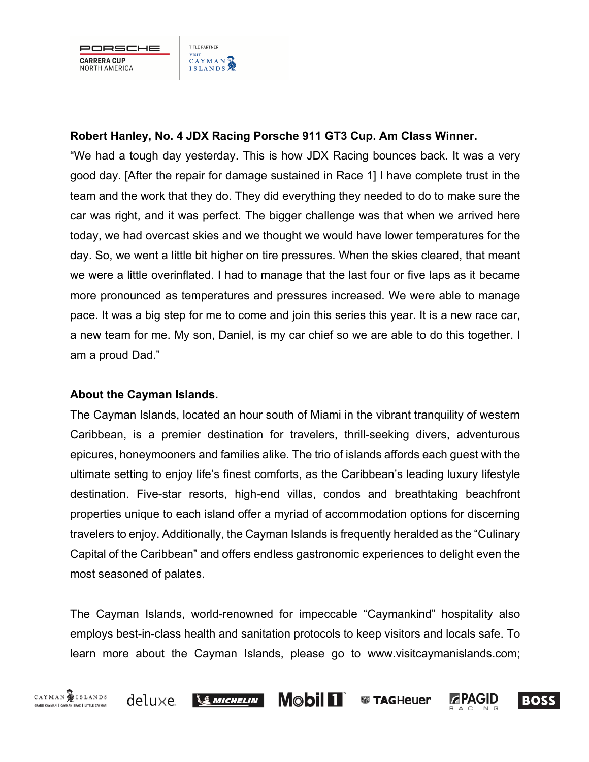PORSCHE **CARRERA CUP** NORTH AMERICA

## **Robert Hanley, No. 4 JDX Racing Porsche 911 GT3 Cup. Am Class Winner.**

"We had a tough day yesterday. This is how JDX Racing bounces back. It was a very good day. [After the repair for damage sustained in Race 1] I have complete trust in the team and the work that they do. They did everything they needed to do to make sure the car was right, and it was perfect. The bigger challenge was that when we arrived here today, we had overcast skies and we thought we would have lower temperatures for the day. So, we went a little bit higher on tire pressures. When the skies cleared, that meant we were a little overinflated. I had to manage that the last four or five laps as it became more pronounced as temperatures and pressures increased. We were able to manage pace. It was a big step for me to come and join this series this year. It is a new race car, a new team for me. My son, Daniel, is my car chief so we are able to do this together. I am a proud Dad."

## **About the Cayman Islands.**

The Cayman Islands, located an hour south of Miami in the vibrant tranquility of western Caribbean, is a premier destination for travelers, thrill-seeking divers, adventurous epicures, honeymooners and families alike. The trio of islands affords each guest with the ultimate setting to enjoy life's finest comforts, as the Caribbean's leading luxury lifestyle destination. Five-star resorts, high-end villas, condos and breathtaking beachfront properties unique to each island offer a myriad of accommodation options for discerning travelers to enjoy. Additionally, the Cayman Islands is frequently heralded as the "Culinary Capital of the Caribbean" and offers endless gastronomic experiences to delight even the most seasoned of palates.

The Cayman Islands, world-renowned for impeccable "Caymankind" hospitality also employs best-in-class health and sanitation protocols to keep visitors and locals safe. To learn more about the Cayman Islands, please go to www.visitcaymanislands.com;

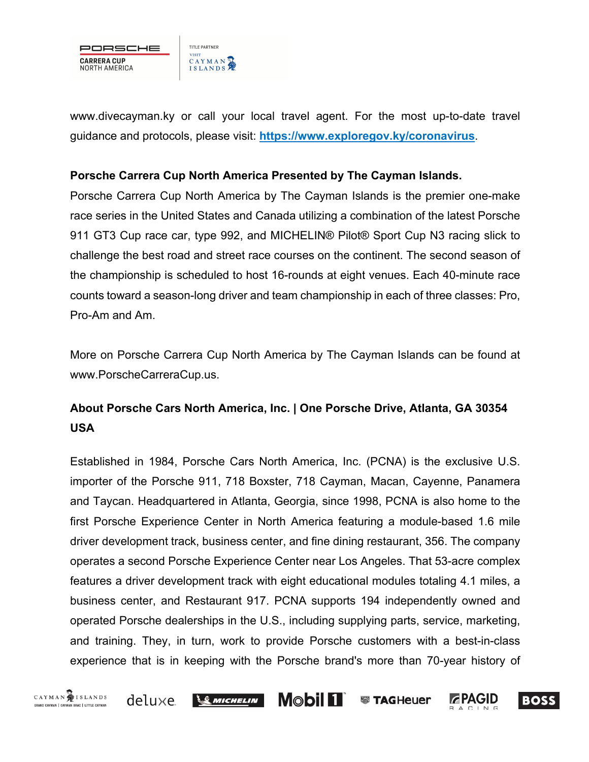

www.divecayman.ky or call your local travel agent. For the most up-to-date travel guidance and protocols, please visit: **https://www.exploregov.ky/coronavirus**.

#### **Porsche Carrera Cup North America Presented by The Cayman Islands.**

Porsche Carrera Cup North America by The Cayman Islands is the premier one-make race series in the United States and Canada utilizing a combination of the latest Porsche 911 GT3 Cup race car, type 992, and MICHELIN® Pilot® Sport Cup N3 racing slick to challenge the best road and street race courses on the continent. The second season of the championship is scheduled to host 16-rounds at eight venues. Each 40-minute race counts toward a season-long driver and team championship in each of three classes: Pro, Pro-Am and Am.

More on Porsche Carrera Cup North America by The Cayman Islands can be found at www.PorscheCarreraCup.us.

# **About Porsche Cars North America, Inc. | One Porsche Drive, Atlanta, GA 30354 USA**

Established in 1984, Porsche Cars North America, Inc. (PCNA) is the exclusive U.S. importer of the Porsche 911, 718 Boxster, 718 Cayman, Macan, Cayenne, Panamera and Taycan. Headquartered in Atlanta, Georgia, since 1998, PCNA is also home to the first Porsche Experience Center in North America featuring a module-based 1.6 mile driver development track, business center, and fine dining restaurant, 356. The company operates a second Porsche Experience Center near Los Angeles. That 53-acre complex features a driver development track with eight educational modules totaling 4.1 miles, a business center, and Restaurant 917. PCNA supports 194 independently owned and operated Porsche dealerships in the U.S., including supplying parts, service, marketing, and training. They, in turn, work to provide Porsche customers with a best-in-class experience that is in keeping with the Porsche brand's more than 70-year history of





 $\frac{1}{2}$  Michelin

**Mobil 11 ● TAGHeuer**